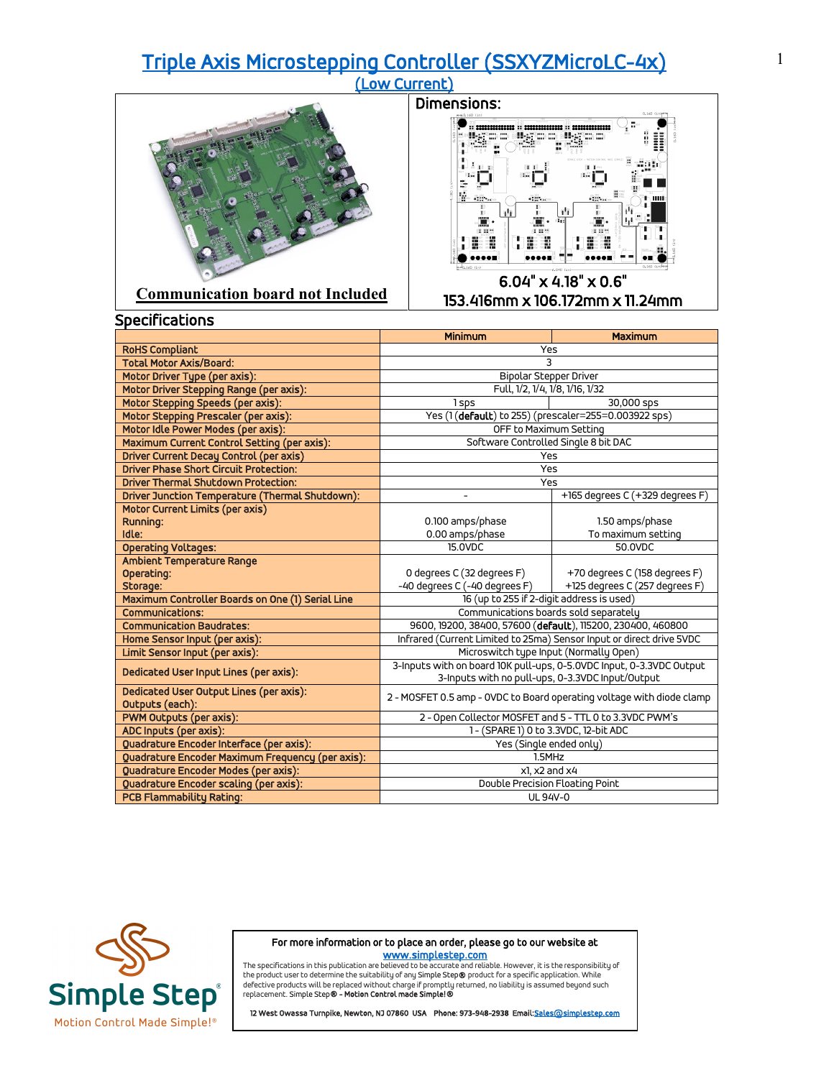## [Triple Axis Microstepping Controller \(SSXYZMicroLC-4x\) \(Low Current\)](https://simplestep.com/product/ssxyzmicrolc-4x/)





153.416mm x 106.172mm x 11.24mm

|                                                                 | <b>Minimum</b>                                                                                                           | <b>Maximum</b>                  |  |
|-----------------------------------------------------------------|--------------------------------------------------------------------------------------------------------------------------|---------------------------------|--|
| <b>RoHS Compliant</b>                                           | Yes                                                                                                                      |                                 |  |
| <b>Total Motor Axis/Board:</b>                                  | 3                                                                                                                        |                                 |  |
| Motor Driver Type (per axis):                                   | <b>Bipolar Stepper Driver</b>                                                                                            |                                 |  |
| Motor Driver Stepping Range (per axis):                         | Full, 1/2, 1/4, 1/8, 1/16, 1/32                                                                                          |                                 |  |
| Motor Stepping Speeds (per axis):                               | 1 sps                                                                                                                    | 30,000 sps                      |  |
| Motor Stepping Prescaler (per axis):                            | Yes (1(default) to 255) (prescaler=255=0.003922 sps)                                                                     |                                 |  |
| Motor Idle Power Modes (per axis):                              | OFF to Maximum Setting                                                                                                   |                                 |  |
| Maximum Current Control Setting (per axis):                     | Software Controlled Single 8 bit DAC                                                                                     |                                 |  |
| <b>Driver Current Decay Control (per axis)</b>                  | Yes                                                                                                                      |                                 |  |
| <b>Driver Phase Short Circuit Protection:</b>                   |                                                                                                                          | Yes                             |  |
| <b>Driver Thermal Shutdown Protection:</b>                      |                                                                                                                          | Yes                             |  |
| Driver Junction Temperature (Thermal Shutdown):                 |                                                                                                                          | +165 degrees C (+329 degrees F) |  |
| Motor Current Limits (per axis)                                 |                                                                                                                          |                                 |  |
| Running:                                                        | 0.100 amps/phase                                                                                                         | 1.50 amps/phase                 |  |
| Idle:                                                           | 0.00 amps/phase                                                                                                          | To maximum setting              |  |
| <b>Operating Voltages:</b>                                      | 15.0VDC                                                                                                                  | 50.0VDC                         |  |
| Ambient Temperature Range                                       |                                                                                                                          |                                 |  |
| Operating:                                                      | 0 degrees C (32 degrees F)                                                                                               | +70 degrees C (158 degrees F)   |  |
| Storage:                                                        | -40 degrees C (-40 degrees F)                                                                                            | +125 degrees C (257 degrees F)  |  |
| Maximum Controller Boards on One (1) Serial Line                | 16 (up to 255 if 2-digit address is used)                                                                                |                                 |  |
| <b>Communications:</b><br><b>Communication Baudrates:</b>       | Communications boards sold separately                                                                                    |                                 |  |
|                                                                 | 9600, 19200, 38400, 57600 (default), 115200, 230400, 460800                                                              |                                 |  |
| Home Sensor Input (per axis):<br>Limit Sensor Input (per axis): | Infrared (Current Limited to 25ma) Sensor Input or direct drive 5VDC                                                     |                                 |  |
|                                                                 | Microswitch type Input (Normally Open)                                                                                   |                                 |  |
| Dedicated User Input Lines (per axis):                          | 3-Inputs with on board 10K pull-ups, 0-5.0VDC Input, 0-3.3VDC Output<br>3-Inputs with no pull-ups, 0-3.3VDC Input/Output |                                 |  |
| Dedicated User Output Lines (per axis):                         |                                                                                                                          |                                 |  |
| Outputs (each):                                                 | 2 - MOSFET 0.5 amp - OVDC to Board operating voltage with diode clamp                                                    |                                 |  |
| <b>PWM Outputs (per axis):</b>                                  | 2 - Open Collector MOSFET and 5 - TTL 0 to 3.3VDC PWM's                                                                  |                                 |  |
| ADC Inputs (per axis):                                          | 1- (SPARE 1) 0 to 3.3VDC, 12-bit ADC                                                                                     |                                 |  |
| Quadrature Encoder Interface (per axis):                        | Yes (Single ended only)                                                                                                  |                                 |  |
| Quadrature Encoder Maximum Frequency (per axis):                | 1.5MHz                                                                                                                   |                                 |  |
| Quadrature Encoder Modes (per axis):                            | $x$ l. $x$ 2 and $x$ 4                                                                                                   |                                 |  |
| Quadrature Encoder scaling (per axis):                          | Double Precision Floating Point                                                                                          |                                 |  |
| PCB Flammability Rating:                                        | <b>UL 94V-0</b>                                                                                                          |                                 |  |



For more information or to place an order, please go to our website at

www.s<mark>implestep.com</mark><br>The specifications in this publication are believed to be accurate and reliable. However, it is the responsibility of<br>the product user to determine the suitability of any Simple Step**®** product for a s replacement. Simple Step® - Motion Control made Simple!®

12 West Owassa Turnpike, Newton, NJ 07860 USA Phone: 973-948-2938 Email: Sales@simplestep.com